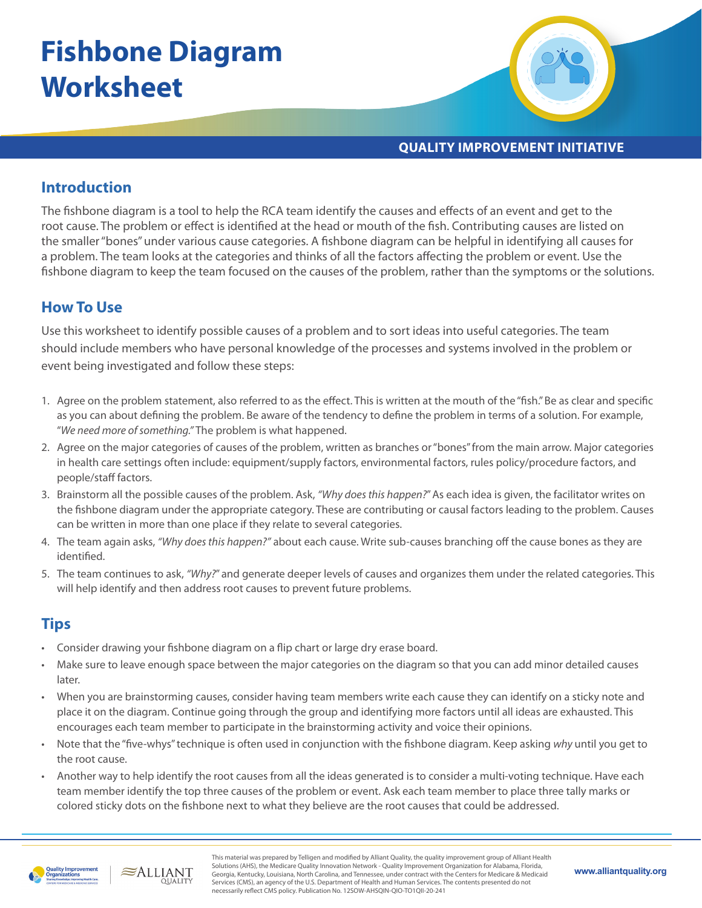# **Fishbone Diagram Worksheet**



**QUALITY IMPROVEMENT INITIATIVE**

### **Introduction**

The fishbone diagram is a tool to help the RCA team identify the causes and effects of an event and get to the root cause. The problem or effect is identified at the head or mouth of the fish. Contributing causes are listed on the smaller "bones" under various cause categories. A fishbone diagram can be helpful in identifying all causes for a problem. The team looks at the categories and thinks of all the factors affecting the problem or event. Use the fishbone diagram to keep the team focused on the causes of the problem, rather than the symptoms or the solutions.

## **How To Use**

Use this worksheet to identify possible causes of a problem and to sort ideas into useful categories. The team should include members who have personal knowledge of the processes and systems involved in the problem or event being investigated and follow these steps:

- 1. Agree on the problem statement, also referred to as the effect. This is written at the mouth of the "fish." Be as clear and specific as you can about defining the problem. Be aware of the tendency to define the problem in terms of a solution. For example, "*We need more of something."* The problem is what happened.
- 2. Agree on the major categories of causes of the problem, written as branches or "bones" from the main arrow. Major categories in health care settings often include: equipment/supply factors, environmental factors, rules policy/procedure factors, and people/staff factors.
- 3. Brainstorm all the possible causes of the problem. Ask, *"Why does this happen?*" As each idea is given, the facilitator writes on the fishbone diagram under the appropriate category. These are contributing or causal factors leading to the problem. Causes can be written in more than one place if they relate to several categories.
- 4. The team again asks, *"Why does this happen?"* about each cause. Write sub-causes branching off the cause bones as they are identified.
- 5. The team continues to ask, *"Why?*" and generate deeper levels of causes and organizes them under the related categories. This will help identify and then address root causes to prevent future problems.

#### **Tips**

- Consider drawing your fishbone diagram on a flip chart or large dry erase board.
- Make sure to leave enough space between the major categories on the diagram so that you can add minor detailed causes later.
- When you are brainstorming causes, consider having team members write each cause they can identify on a sticky note and place it on the diagram. Continue going through the group and identifying more factors until all ideas are exhausted. This encourages each team member to participate in the brainstorming activity and voice their opinions.
- Note that the "five-whys" technique is often used in conjunction with the fishbone diagram. Keep asking *why* until you get to the root cause.
- Another way to help identify the root causes from all the ideas generated is to consider a multi-voting technique. Have each team member identify the top three causes of the problem or event. Ask each team member to place three tally marks or colored sticky dots on the fishbone next to what they believe are the root causes that could be addressed.



 $\approx$ ALLIANT